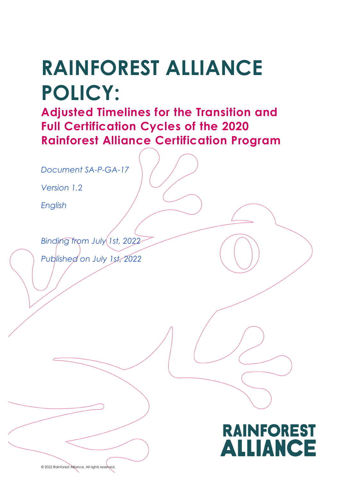# **RAINFOREST ALLIANCE POLICY:**

**Adjusted Timelines for the Transition and Full Certification Cycles of the 2020 Rainforest Alliance Certification Program**

*Document SA-P-GA-17*

*Version 1.*2

*English*

í

 $\overline{\phantom{a}}$ 

*Binding from July 1st, 2022 Published on July 1st, 2022*



© 2022 Rainforest Alliance. All rights reserved.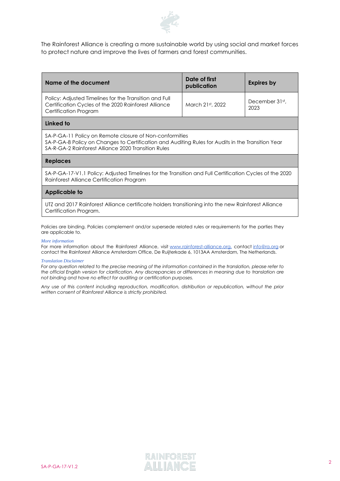

The Rainforest Alliance is creating a more sustainable world by using social and market forces to protect nature and improve the lives of farmers and forest communities.

| Name of the document                                                                                                                                                                                                | Date of first<br><b>Expires by</b><br>publication |                        |  |                                                                                                                               |  |  |
|---------------------------------------------------------------------------------------------------------------------------------------------------------------------------------------------------------------------|---------------------------------------------------|------------------------|--|-------------------------------------------------------------------------------------------------------------------------------|--|--|
| Policy: Adjusted Timelines for the Transition and Full<br>Certification Cycles of the 2020 Rainforest Alliance<br>Certification Program                                                                             | March 21st, 2022                                  | December 31st.<br>2023 |  |                                                                                                                               |  |  |
| Linked to                                                                                                                                                                                                           |                                                   |                        |  |                                                                                                                               |  |  |
| SA-P-GA-11 Policy on Remote closure of Non-conformities<br>SA-P-GA-8 Policy on Changes to Certification and Auditing Rules for Audits in the Transition Year<br>SA-R-GA-2 Rainforest Alliance 2020 Transition Rules |                                                   |                        |  |                                                                                                                               |  |  |
| <b>Replaces</b><br>SA-P-GA-17-V1.1 Policy: Adjusted Timelines for the Transition and Full Certification Cycles of the 2020<br>Rainforest Alliance Certification Program<br>Applicable to                            |                                                   |                        |  |                                                                                                                               |  |  |
|                                                                                                                                                                                                                     |                                                   |                        |  | UTZ and 2017 Rainforest Alliance certificate holders transitioning into the new Rainforest Alliance<br>Certification Program. |  |  |

Policies are binding. Policies complement and/or supersede related rules or requirements for the parties they are applicable to.

#### *More information*

For more information about the Rainforest Alliance, visit [www.rainforest-alliance.org,](http://www.rainforest-alliance.org/) contact [info@ra.org](mailto:info@ra.org) or contact the Rainforest Alliance Amsterdam Office, De Ruijterkade 6, 1013AA Amsterdam, The Netherlands.

#### *Translation Disclaimer*

*For any question related to the precise meaning of the information contained in the translation, please refer to the official English version for clarification. Any discrepancies or differences in meaning due to translation are not binding and have no effect for auditing or certification purposes.*

*Any use of this content including reproduction, modification, distribution or republication, without the prior written consent of Rainforest Alliance is strictly prohibited.*

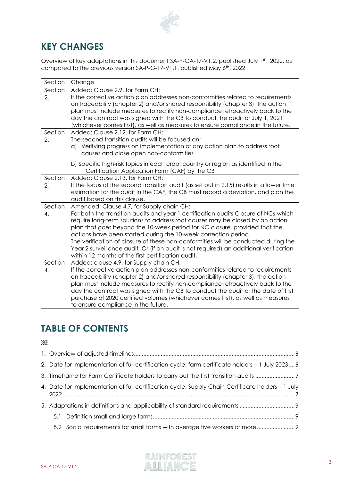

## **KEY CHANGES**

Overview of key adaptations in this document  $SA-P-GA-17-V1.2$ , published July  $1<sup>st</sup>$ , 2022, as compared to the previous version  $SA-P-G-17-V1.1$ , published May  $6<sup>th</sup>$ , 2022

| Section | Change                                                                                                                                                                        |  |  |  |  |
|---------|-------------------------------------------------------------------------------------------------------------------------------------------------------------------------------|--|--|--|--|
| Section | Added: Clause 2.9, for Farm CH:                                                                                                                                               |  |  |  |  |
| 2.      | If the corrective action plan addresses non-conformities related to requirements                                                                                              |  |  |  |  |
|         | on traceability (chapter 2) and/or shared responsibility (chapter 3), the action                                                                                              |  |  |  |  |
|         | plan must include measures to rectify non-compliance retroactively back to the                                                                                                |  |  |  |  |
|         | day the contract was signed with the CB to conduct the audit or July 1, 2021                                                                                                  |  |  |  |  |
|         | (whichever comes first), as well as measures to ensure compliance in the future.                                                                                              |  |  |  |  |
| Section | Added: Clause 2.12, for Farm CH:                                                                                                                                              |  |  |  |  |
| 2.      | The second transition audits will be focused on:                                                                                                                              |  |  |  |  |
|         | a) Verifying progress on implementation of any action plan to address root<br>causes and close open non-conformities                                                          |  |  |  |  |
|         |                                                                                                                                                                               |  |  |  |  |
|         | b) Specific high-risk topics in each crop, country or region as identified in the                                                                                             |  |  |  |  |
|         | Certification Application Form (CAF) by the CB                                                                                                                                |  |  |  |  |
| Section | Added: Clause 2.13, for Farm CH:                                                                                                                                              |  |  |  |  |
| 2,      | If the focus of the second transition audit (as set out in 2.15) results in a lower time<br>estimation for the audit in the CAF, the CB must record a deviation, and plan the |  |  |  |  |
|         | audit based on this clause.                                                                                                                                                   |  |  |  |  |
| Section | Amended: Clause 4.7, for Supply chain CH:                                                                                                                                     |  |  |  |  |
| 4.      | For both the transition audits and year 1 certification audits Closure of NCs which                                                                                           |  |  |  |  |
|         | require long-term solutions to address root causes may be closed by an action                                                                                                 |  |  |  |  |
|         | plan that goes beyond the 10-week period for NC closure, provided that the                                                                                                    |  |  |  |  |
|         | actions have been started during the 10-week correction period.                                                                                                               |  |  |  |  |
|         | The verification of closure of these non-conformities will be conducted during the                                                                                            |  |  |  |  |
|         | Year 2 surveillance audit. Or (if an audit is not required) an additional verification                                                                                        |  |  |  |  |
|         | within 12 months of the first certification audit.                                                                                                                            |  |  |  |  |
| Section | Added: clause 4.9, for Supply chain CH:                                                                                                                                       |  |  |  |  |
| 4.      | If the corrective action plan addresses non-conformities related to requirements                                                                                              |  |  |  |  |
|         | on traceability (chapter 2) and/or shared responsibility (chapter 3), the action                                                                                              |  |  |  |  |
|         | plan must include measures to rectify non-compliance retroactively back to the<br>day the contract was signed with the CB to conduct the audit or the date of first           |  |  |  |  |
|         | purchase of 2020 certified volumes (whichever comes first), as well as measures                                                                                               |  |  |  |  |
|         | to ensure compliance in the future.                                                                                                                                           |  |  |  |  |
|         |                                                                                                                                                                               |  |  |  |  |

# **TABLE OF CONTENTS**

 $OBD$ 

|  |  | 2. Date for Implementation of full certification cycle: farm certificate holders – 1 July 2023 5  |  |
|--|--|---------------------------------------------------------------------------------------------------|--|
|  |  |                                                                                                   |  |
|  |  | 4. Date for Implementation of full certification cycle: Supply Chain Certificate holders – 1 July |  |
|  |  |                                                                                                   |  |
|  |  |                                                                                                   |  |
|  |  | 5.2 Social requirements for small farms with average five workers or more                         |  |

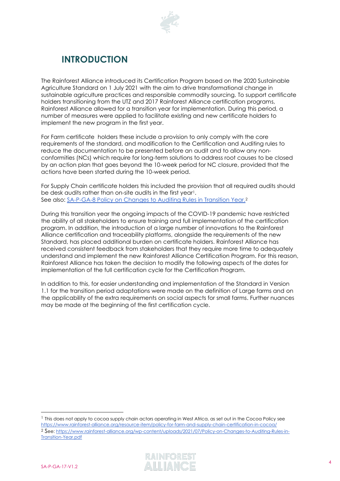

## **INTRODUCTION**

The Rainforest Alliance introduced its Certification Program based on the 2020 Sustainable Agriculture Standard on 1 July 2021 with the aim to drive transformational change in sustainable agriculture practices and responsible commodity sourcing. To support certificate holders transitioning from the UTZ and 2017 Rainforest Alliance certification programs, Rainforest Alliance allowed for a transition year for implementation. During this period, a number of measures were applied to facilitate existing and new certificate holders to implement the new program in the first year.

For Farm certificate holders these include a provision to only comply with the core requirements of the standard, and modification to the Certification and Auditing rules to reduce the documentation to be presented before an audit and to allow any nonconformities (NCs) which require for long-term solutions to address root causes to be closed by an action plan that goes beyond the 10-week period for NC closure, provided that the actions have been started during the 10-week period.

For Supply Chain certificate holders this included the provision that all required audits should be desk audits rather than on-site audits in the first year<sup>1</sup>. See also: [SA-P-GA-8 Policy on Changes to Auditing Rules in Transition Year.](https://www.rainforest-alliance.org/wp-content/uploads/2021/07/Policy-on-Changes-to-Auditing-Rules-in-Transition-Year.pdf)<sup>2</sup>

During this transition year the ongoing impacts of the COVID-19 pandemic have restricted the ability of all stakeholders to ensure training and full implementation of the certification program. In addition, the introduction of a large number of innovations to the Rainforest Alliance certification and traceability platforms, alongside the requirements of the new Standard, has placed additional burden on certificate holders. Rainforest Alliance has received consistent feedback from stakeholders that they require more time to adequately understand and implement the new Rainforest Alliance Certification Program. For this reason, Rainforest Alliance has taken the decision to modify the following aspects of the dates for implementation of the full certification cycle for the Certification Program.

In addition to this, for easier understanding and implementation of the Standard in Version 1.1 for the transition period adaptations were made on the definition of Large farms and on the applicability of the extra requirements on social aspects for small farms. Further nuances may be made at the beginning of the first certification cycle.

<sup>1</sup> This does not apply to cocoa supply chain actors operating in West Africa, as set out in the Cocoa Policy see <https://www.rainforest-alliance.org/resource-item/policy-for-farm-and-supply-chain-certification-in-cocoa/> <sup>2</sup> See[: https://www.rainforest-alliance.org/wp-content/uploads/2021/07/Policy-on-Changes-to-Auditing-Rules-in-](https://www.rainforest-alliance.org/wp-content/uploads/2021/07/Policy-on-Changes-to-Auditing-Rules-in-Transition-Year.pdf)[Transition-Year.pdf](https://www.rainforest-alliance.org/wp-content/uploads/2021/07/Policy-on-Changes-to-Auditing-Rules-in-Transition-Year.pdf)

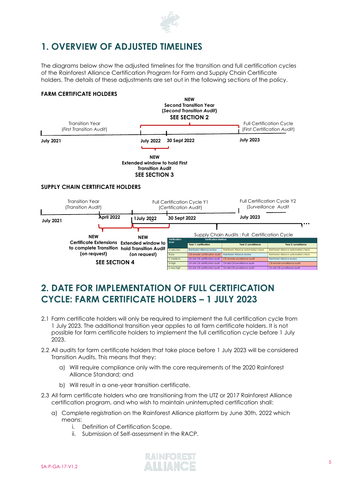

## <span id="page-4-0"></span>**1. OVERVIEW OF ADJUSTED TIMELINES**

The diagrams below show the adjusted timelines for the transition and full certification cycles of the Rainforest Alliance Certification Program for Farm and Supply Chain Certificate holders. The details of these adjustments are set out in the following sections of the policy.

#### **FARM CERTIFICATE HOLDERS**



## <span id="page-4-1"></span>**2. DATE FOR IMPLEMENTATION OF FULL CERTIFICATION CYCLE: FARM CERTIFICATE HOLDERS – 1 JULY 2023**

- 2.1 Farm certificate holders will only be required to implement the full certification cycle from 1 July 2023. The additional transition year applies to all farm certificate holders. It is not possible for farm certificate holders to implement the full certification cycle before 1 July 2023.
- 2.2 All audits for farm certificate holders that take place before 1 July 2023 will be considered Transition Audits. This means that they:
	- a) Will require compliance only with the core requirements of the 2020 Rainforest Alliance Standard; and
	- b) Will result in a one-year transition certificate.
- 2.3 All farm certificate holders who are transitioning from the UTZ or 2017 Rainforest Alliance certification program, and who wish to maintain uninterrupted certification shall:
	- a) Complete registration on the Rainforest Alliance platform by June 30th, 2022 which means:
		- i. Definition of Certification Scope.
		- ii. Submission of Self-assessment in the RACP.

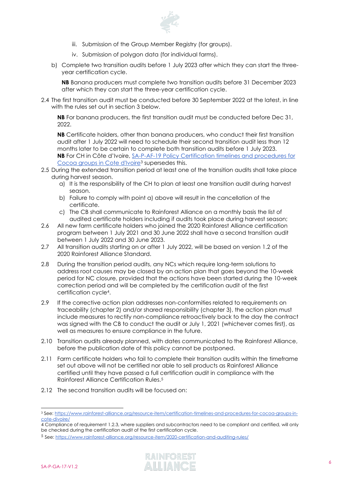

- iii. Submission of the Group Member Registry (for groups).
- iv. Submission of polygon data (for individual farms).
- b) Complete two transition audits before 1 July 2023 after which they can start the threeyear certification cycle.

**NB** Banana producers must complete two transition audits before 31 December 2023 after which they can start the three-year certification cycle.

2.4 The first transition audit must be conducted before 30 September 2022 at the latest, in line with the rules set out in section 3 below.

**NB** For banana producers, the first transition audit must be conducted before Dec 31, 2022.

**NB** Certificate holders, other than banana producers, who conduct their first transition audit after 1 July 2022 will need to schedule their second transition audit less than 12 months later to be certain to complete both transition audits before 1 July 2023. **NB** For CH in Côte d'Ivoire, [SA-P-AF-19 Policy Certification timelines and procedures for](https://www.rainforest-alliance.org/resource-item/certification-timelines-and-procedures-for-cocoa-groups-in-cote-divoire/)  [Cocoa groups in Cote d'Ivoire](https://www.rainforest-alliance.org/resource-item/certification-timelines-and-procedures-for-cocoa-groups-in-cote-divoire/)<sup>3</sup> supersedes this.

- 2.5 During the extended transition period at least one of the transition audits shall take place during harvest season.
	- a) It is the responsibility of the CH to plan at least one transition audit during harvest season.
	- b) Failure to comply with point a) above will result in the cancellation of the certificate.
	- c) The CB shall communicate to Rainforest Alliance on a monthly basis the list of audited certificate holders including if audits took place during harvest season;
- 2.6 All new farm certificate holders who joined the 2020 Rainforest Alliance certification program between 1 July 2021 and 30 June 2022 shall have a second transition audit between 1 July 2022 and 30 June 2023.
- 2.7 All transition audits starting on or after 1 July 2022, will be based on version 1.2 of the 2020 Rainforest Alliance Standard.
- 2.8 During the transition period audits, any NCs which require long-term solutions to address root causes may be closed by an action plan that goes beyond the 10-week period for NC closure, provided that the actions have been started during the 10-week correction period and will be completed by the certification audit of the first certification cycle4.
- 2.9 If the corrective action plan addresses non-conformities related to requirements on traceability (chapter 2) and/or shared responsibility (chapter 3), the action plan must include measures to rectify non-compliance retroactively back to the day the contract was signed with the CB to conduct the audit or July 1, 2021 (whichever comes first), as well as measures to ensure compliance in the future.
- 2.10 Transition audits already planned, with dates communicated to the Rainforest Alliance, before the publication date of this policy cannot be postponed.
- 2.11 Farm certificate holders who fail to complete their transition audits within the timeframe set out above will not be certified nor able to sell products as Rainforest Alliance certified until they have passed a full certification audit in compliance with the Rainforest Alliance Certification Rules.<sup>5</sup>
- 2.12 The second transition audits will be focused on:

<sup>5</sup> See[: https://www.rainforest-alliance.org/resource-item/2020-certification-and-auditing-rules/](https://www.rainforest-alliance.org/resource-item/2020-certification-and-auditing-rules/)



<sup>3</sup> See: [https://www.rainforest-alliance.org/resource-item/certification-timelines-and-procedures-for-cocoa-groups-in](https://www.rainforest-alliance.org/resource-item/certification-timelines-and-procedures-for-cocoa-groups-in-cote-divoire/)[cote-divoire/](https://www.rainforest-alliance.org/resource-item/certification-timelines-and-procedures-for-cocoa-groups-in-cote-divoire/)

<sup>4</sup> Compliance of requirement 1.2.3, where suppliers and subcontractors need to be compliant and certified, will only be checked during the certification audit of the first certification cycle.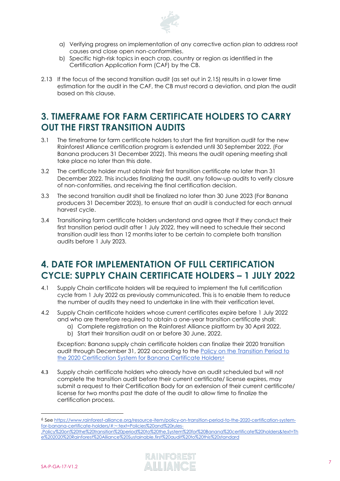

- a) Verifying progress on implementation of any corrective action plan to address root causes and close open non-conformities.
- b) Specific high-risk topics in each crop, country or region as identified in the Certification Application Form (CAF) by the CB.
- 2.13 If the focus of the second transition audit (as set out in 2.15) results in a lower time estimation for the audit in the CAF, the CB must record a deviation, and plan the audit based on this clause.

## <span id="page-6-0"></span>**3. TIMEFRAME FOR FARM CERTIFICATE HOLDERS TO CARRY OUT THE FIRST TRANSITION AUDITS**

- 3.1 The timeframe for farm certificate holders to start the first transition audit for the new Rainforest Alliance certification program is extended until 30 September 2022. (For Banana producers 31 December 2022). This means the audit opening meeting shall take place no later than this date.
- 3.2 The certificate holder must obtain their first transition certificate no later than 31 December 2022. This includes finalizing the audit, any follow-up audits to verify closure of non-conformities, and receiving the final certification decision.
- 3.3 The second transition audit shall be finalized no later than 30 June 2023 (For Banana producers 31 December 2023), to ensure that an audit is conducted for each annual harvest cycle.
- 3.4 Transitioning farm certificate holders understand and agree that if they conduct their first transition period audit after 1 July 2022, they will need to schedule their second transition audit less than 12 months later to be certain to complete both transition audits before 1 July 2023.

## <span id="page-6-1"></span>**4. DATE FOR IMPLEMENTATION OF FULL CERTIFICATION CYCLE: SUPPLY CHAIN CERTIFICATE HOLDERS – 1 JULY 2022**

- 4.1 Supply Chain certificate holders will be required to implement the full certification cycle from 1 July 2022 as previously communicated. This is to enable them to reduce the number of audits they need to undertake in line with their verification level.
- 4.2 Supply Chain certificate holders whose current certificates expire before 1 July 2022 and who are therefore required to obtain a one-year transition certificate shall:
	- a) Complete registration on the Rainforest Alliance platform by 30 April 2022.
	- b) Start their transition audit on or before 30 June, 2022.

Exception: Banana supply chain certificate holders can finalize their 2020 transition audit through December 31, 2022 according to the [Policy on the Transition Period to](https://www.rainforest-alliance.org/resource-item/policy-on-transition-period-to-the-2020-certification-system-for-banana-certificate-holders/#:~:text=Policies%20and%20rules-,Policy%20on%20the%20transition%20period%20to%20the,System%20for%20Banana%20certificate%20holders&text=The%202020%20Rainforest%20Alliance%20Sustainable,first%20audit%20to%20this%20standard)  [the 2020 Certification System for Banana Certificate Holders](https://www.rainforest-alliance.org/resource-item/policy-on-transition-period-to-the-2020-certification-system-for-banana-certificate-holders/#:~:text=Policies%20and%20rules-,Policy%20on%20the%20transition%20period%20to%20the,System%20for%20Banana%20certificate%20holders&text=The%202020%20Rainforest%20Alliance%20Sustainable,first%20audit%20to%20this%20standard)<sup>6</sup>

4.3 Supply chain certificate holders who already have an audit scheduled but will not complete the transition audit before their current certificate/ license expires, may submit a request to their Certification Body for an extension of their current certificate/ license for two months past the date of the audit to allow time to finalize the certification process.

[e%202020%20Rainforest%20Alliance%20Sustainable,first%20audit%20to%20this%20standard](https://www.rainforest-alliance.org/resource-item/policy-on-transition-period-to-the-2020-certification-system-for-banana-certificate-holders/#:~:text=Policies%20and%20rules-,Policy%20on%20the%20transition%20period%20to%20the,System%20for%20Banana%20certificate%20holders&text=The%202020%20Rainforest%20Alliance%20Sustainable,first%20audit%20to%20this%20standard)



<sup>6</sup> See [https://www.rainforest-alliance.org/resource-item/policy-on-transition-period-to-the-2020-certification-system](https://www.rainforest-alliance.org/resource-item/policy-on-transition-period-to-the-2020-certification-system-for-banana-certificate-holders/#:~:text=Policies%20and%20rules-,Policy%20on%20the%20transition%20period%20to%20the,System%20for%20Banana%20certificate%20holders&text=The%202020%20Rainforest%20Alliance%20Sustainable,first%20audit%20to%20this%20standard)[for-banana-certificate-holders/#:~:text=Policies%20and%20rules-](https://www.rainforest-alliance.org/resource-item/policy-on-transition-period-to-the-2020-certification-system-for-banana-certificate-holders/#:~:text=Policies%20and%20rules-,Policy%20on%20the%20transition%20period%20to%20the,System%20for%20Banana%20certificate%20holders&text=The%202020%20Rainforest%20Alliance%20Sustainable,first%20audit%20to%20this%20standard) [,Policy%20on%20the%20transition%20period%20to%20the,System%20for%20Banana%20certificate%20holders&text=Th](https://www.rainforest-alliance.org/resource-item/policy-on-transition-period-to-the-2020-certification-system-for-banana-certificate-holders/#:~:text=Policies%20and%20rules-,Policy%20on%20the%20transition%20period%20to%20the,System%20for%20Banana%20certificate%20holders&text=The%202020%20Rainforest%20Alliance%20Sustainable,first%20audit%20to%20this%20standard)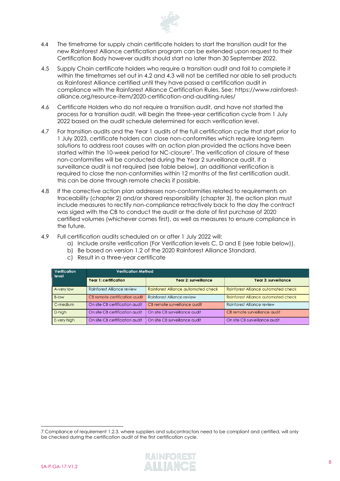

- 4.4 The timeframe for supply chain certificate holders to start the transition audit for the new Rainforest Alliance certification program can be extended upon request to their Certification Body however audits should start no later than 30 September 2022.
- 4.5 Supply Chain certificate holders who require a transition audit and fail to complete it within the timeframes set out in 4.2 and 4.3 will not be certified nor able to sell products as Rainforest Alliance certified until they have passed a certification audit in compliance with the Rainforest Alliance Certification Rules. See: [https://www.rainforest](https://www.rainforest-alliance.org/resource-item/2020-certification-and-auditing-rules/)[alliance.org/resource-item/2020-certification-and-auditing-rules/](https://www.rainforest-alliance.org/resource-item/2020-certification-and-auditing-rules/)
- 4.6 Certificate Holders who do not require a transition audit, and have not started the process for a transition audit, will begin the three-year certification cycle from 1 July 2022 based on the audit schedule determined for each verification level.
- 4.7 For transition audits and the Year 1 audits of the full certification cycle that start prior to 1 July 2023, certificate holders can close non-conformities which require long-term solutions to address root causes with an action plan provided the actions have been started within the 10-week period for NC-closure7. The verification of closure of these non-conformities will be conducted during the Year 2 surveillance audit. If a surveillance audit is not required (see table below), an additional verification is required to close the non-conformities within 12 months of the first certification audit, this can be done through remote checks if possible.
- 4.8 If the corrective action plan addresses non-conformities related to requirements on traceability (chapter 2) and/or shared responsibility (chapter 3), the action plan must include measures to rectify non-compliance retractively back to the day the contract was siged with the CB to conduct the audit or the date of first purchase of 2020 certified volumes (whichever comes first), as well as measures to ensure compliance in the future.
- 4.9 Full certification audits scheduled on or after 1 July 2022 will:
	- a) Include onsite verification (For Verification levels C, D and E (see table below)).
	- b) Be based on version 1.2 of the 2020 Rainforest Alliance Standard.
	- c) Result in a three-year certificate

| Verification  <br>l level |                                   | Verification Method                 |                                            |  |
|---------------------------|-----------------------------------|-------------------------------------|--------------------------------------------|--|
|                           | <b>Year 1: certification</b>      | Year 2: surveillance                | Year 3: surveillance                       |  |
| A-very low                | <b>Rainforest Alliance review</b> | Rainforest Alliance automated check | <b>Rainforest Alliance automated check</b> |  |
| <b>B-low</b>              | CB remote certification audit     | Rainforest Alliance review          | Rainforest Alliance automated check        |  |
| C-medium                  | On site CB certification audit    | CB remote surveillance audit        | <b>Rainforest Alliance review</b>          |  |
| D-high                    | On site CB certification audit    | On site CB surveillance audit       | CB remote surveillance audit               |  |
| E-very high               | On site CB certification audit    | On site CB surveillance audit       | On site CB surveillance audit              |  |

<sup>7</sup> Compliance of requirement 1.2.3, where suppliers and subcontractors need to be compliant and certified, will only be checked during the certification audit of the first certification cycle.